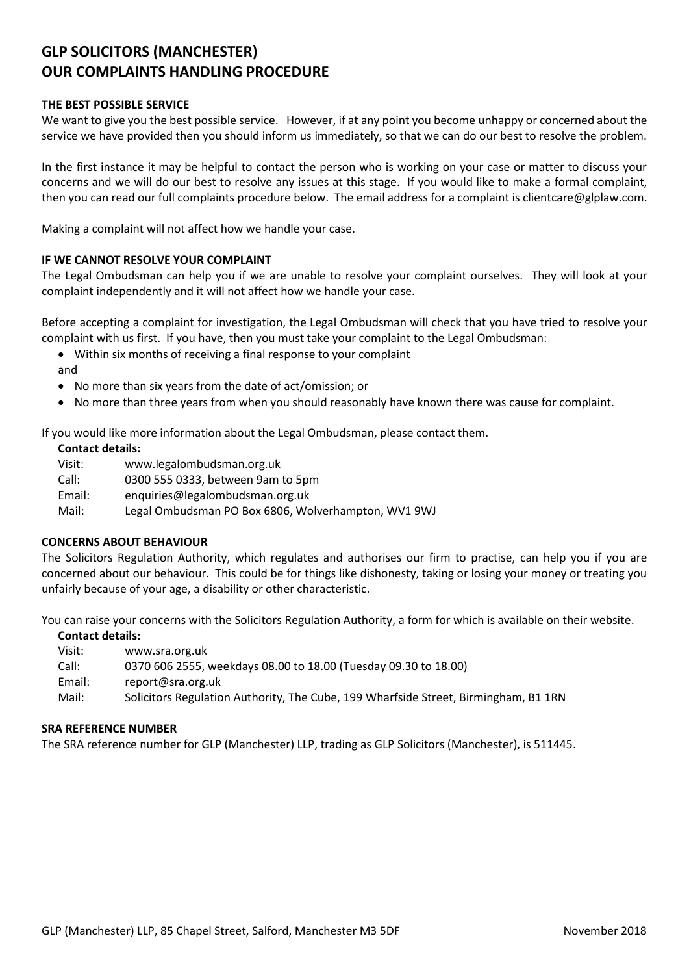# **GLP SOLICITORS (MANCHESTER) OUR COMPLAINTS HANDLING PROCEDURE**

## **THE BEST POSSIBLE SERVICE**

We want to give you the best possible service. However, if at any point you become unhappy or concerned about the service we have provided then you should inform us immediately, so that we can do our best to resolve the problem.

In the first instance it may be helpful to contact the person who is working on your case or matter to discuss your concerns and we will do our best to resolve any issues at this stage. If you would like to make a formal complaint, then you can read our full complaints procedure below. The email address for a complaint is clientcare@glplaw.com.

Making a complaint will not affect how we handle your case.

## **IF WE CANNOT RESOLVE YOUR COMPLAINT**

The Legal Ombudsman can help you if we are unable to resolve your complaint ourselves. They will look at your complaint independently and it will not affect how we handle your case.

Before accepting a complaint for investigation, the Legal Ombudsman will check that you have tried to resolve your complaint with us first. If you have, then you must take your complaint to the Legal Ombudsman:

- Within six months of receiving a final response to your complaint
- and
- No more than six years from the date of act/omission; or
- No more than three years from when you should reasonably have known there was cause for complaint.

If you would like more information about the Legal Ombudsman, please contact them.

## **Contact details:**

Visit: www.legalombudsman.org.uk Call: 0300 555 0333, between 9am to 5pm Email: enquiries@legalombudsman.org.uk Mail: Legal Ombudsman PO Box 6806, Wolverhampton, WV1 9WJ

## **CONCERNS ABOUT BEHAVIOUR**

The Solicitors Regulation Authority, which regulates and authorises our firm to practise, can help you if you are concerned about our behaviour. This could be for things like dishonesty, taking or losing your money or treating you unfairly because of your age, a disability or other characteristic.

You can raise your concerns with the Solicitors Regulation Authority, a form for which is available on their website.

#### **Contact details:**

- Visit: www.sra.org.uk
- Call: 0370 606 2555, weekdays 08.00 to 18.00 (Tuesday 09.30 to 18.00)
- Email: report@sra.org.uk
- Mail: Solicitors Regulation Authority, The Cube, 199 Wharfside Street, Birmingham, B1 1RN

#### **SRA REFERENCE NUMBER**

The SRA reference number for GLP (Manchester) LLP, trading as GLP Solicitors (Manchester), is 511445.